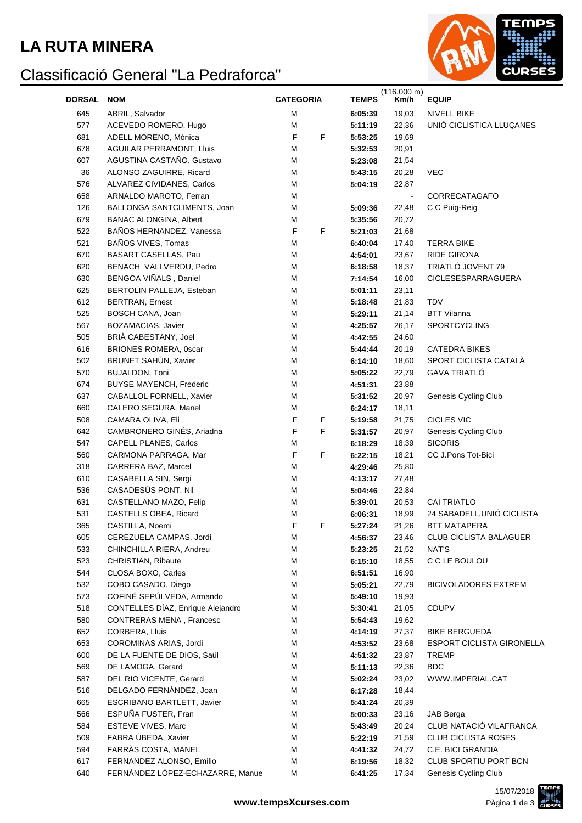#### **LA RUTA MINERA**

# Classificació General "La Pedraforca"



| <b>DORSAL</b> | <b>NOM</b>                        | <b>CATEGORIA</b> |   | <b>TEMPS</b> | (116.000 m)<br>Km/h | <b>EQUIP</b>                     |
|---------------|-----------------------------------|------------------|---|--------------|---------------------|----------------------------------|
| 645           | ABRIL, Salvador                   | M                |   | 6:05:39      | 19,03               | <b>NIVELL BIKE</b>               |
| 577           | ACEVEDO ROMERO, Hugo              | M                |   | 5:11:19      | 22,36               | UNIÓ CICLISTICA LLUÇANES         |
| 681           | ADELL MORENO, Mónica              | F                | F | 5:53:25      | 19,69               |                                  |
| 678           | <b>AGUILAR PERRAMONT, Lluis</b>   | M                |   | 5:32:53      | 20,91               |                                  |
| 607           | AGUSTINA CASTAÑO, Gustavo         | M                |   | 5:23:08      | 21,54               |                                  |
| 36            | ALONSO ZAGUIRRE, Ricard           | M                |   | 5:43:15      | 20,28               | <b>VEC</b>                       |
| 576           | ALVAREZ CIVIDANES, Carlos         | M                |   | 5:04:19      | 22,87               |                                  |
| 658           | ARNALDO MAROTO, Ferran            | Μ                |   |              | $\blacksquare$      | CORRECATAGAFO                    |
| 126           | BALLONGA SANTCLIMENTS, Joan       | Μ                |   | 5:09:36      | 22,48               | C C Puig-Reig                    |
| 679           | <b>BANAC ALONGINA, Albert</b>     | M                |   | 5:35:56      | 20,72               |                                  |
| 522           | BAÑOS HERNANDEZ, Vanessa          | F                | F | 5:21:03      | 21,68               |                                  |
| 521           | BAÑOS VIVES, Tomas                | M                |   | 6:40:04      | 17,40               | <b>TERRA BIKE</b>                |
| 670           | BASART CASELLAS, Pau              | M                |   | 4:54:01      | 23,67               | RIDE GIRONA                      |
| 620           | BENACH VALLVERDU, Pedro           | M                |   | 6:18:58      | 18,37               | TRIATLÓ JOVENT 79                |
| 630           | BENGOA VIÑALS, Daniel             | M                |   | 7:14:54      | 16,00               | CICLESESPARRAGUERA               |
| 625           | BERTOLIN PALLEJA, Esteban         | M                |   | 5:01:11      | 23,11               |                                  |
| 612           | <b>BERTRAN, Ernest</b>            | M                |   | 5:18:48      | 21,83               | <b>TDV</b>                       |
| 525           | BOSCH CANA, Joan                  | M                |   | 5:29:11      | 21,14               | <b>BTT Vilanna</b>               |
| 567           | BOZAMACIAS, Javier                | M                |   | 4:25:57      | 26,17               | <b>SPORTCYCLING</b>              |
| 505           | BRIÀ CABESTANY, Joel              | M                |   | 4:42:55      | 24,60               |                                  |
| 616           | <b>BRIONES ROMERA, 0scar</b>      | M                |   | 5:44:44      | 20,19               | <b>CATEDRA BIKES</b>             |
| 502           | BRUNET SAHÚN, Xavier              | M                |   | 6:14:10      | 18,60               | SPORT CICLISTA CATALÀ            |
| 570           | <b>BUJALDON, Toni</b>             | M                |   | 5:05:22      | 22,79               | <b>GAVA TRIATLÓ</b>              |
| 674           | BUYSE MAYENCH, Frederic           | M                |   | 4:51:31      | 23,88               |                                  |
| 637           | CABALLOL FORNELL, Xavier          | M                |   | 5:31:52      | 20,97               | Genesis Cycling Club             |
| 660           | CALERO SEGURA, Manel              | M                |   | 6:24:17      | 18,11               |                                  |
| 508           | CAMARA OLIVA, Eli                 | F                | F | 5:19:58      | 21,75               | <b>CICLES VIC</b>                |
| 642           | CAMBRONERO GINÉS, Ariadna         | F                | F | 5:31:57      | 20,97               | Genesis Cycling Club             |
| 547           | CAPELL PLANES, Carlos             | M                |   | 6:18:29      | 18,39               | <b>SICORIS</b>                   |
| 560           | CARMONA PARRAGA, Mar              | F                | F | 6:22:15      | 18,21               | CC J.Pons Tot-Bici               |
| 318           | CARRERA BAZ, Marcel               | M                |   | 4:29:46      | 25,80               |                                  |
| 610           | CASABELLA SIN, Sergi              | M                |   | 4:13:17      | 27,48               |                                  |
| 536           | CASADESÚS PONT, Nil               | M                |   | 5:04:46      | 22,84               |                                  |
| 631           | CASTELLANO MAZO, Felip            | M                |   | 5:39:01      | 20,53               | <b>CAI TRIATLO</b>               |
| 531           | CASTELLS OBEA, Ricard             | M                |   | 6:06:31      | 18,99               | 24 SABADELL, UNIÓ CICLISTA       |
| 365           | CASTILLA, Noemi                   | F                | F | 5:27:24      | 21,26               | BTT MATAPERA                     |
| 605           | CEREZUELA CAMPAS, Jordi           | М                |   | 4:56:37      | 23,46               | <b>CLUB CICLISTA BALAGUER</b>    |
| 533           | CHINCHILLA RIERA, Andreu          | Μ                |   | 5:23:25      | 21,52               | NAT'S                            |
| 523           | CHRISTIAN, Ribaute                | Μ                |   | 6:15:10      | 18,55               | C C LE BOULOU                    |
| 544           | CLOSA BOXO, Carles                | Μ                |   | 6:51:51      | 16,90               |                                  |
| 532           | COBO CASADO, Diego                | Μ                |   | 5:05:21      | 22,79               | <b>BICIVOLADORES EXTREM</b>      |
| 573           | COFINÉ SEPÚLVEDA, Armando         | Μ                |   | 5:49:10      | 19,93               |                                  |
| 518           | CONTELLES DÍAZ, Enrique Alejandro | Μ                |   | 5:30:41      | 21,05               | <b>CDUPV</b>                     |
| 580           | CONTRERAS MENA, Francesc          | Μ                |   | 5:54:43      | 19,62               |                                  |
| 652           | CORBERA, Lluis                    | Μ                |   | 4:14:19      | 27,37               | <b>BIKE BERGUEDA</b>             |
| 653           | COROMINAS ARIAS, Jordi            | Μ                |   | 4:53:52      | 23,68               | <b>ESPORT CICLISTA GIRONELLA</b> |
| 600           | DE LA FUENTE DE DIOS, Saül        | M                |   | 4:51:32      | 23,87               | <b>TREMP</b>                     |
| 569           | DE LAMOGA, Gerard                 | M                |   | 5:11:13      | 22,36               | <b>BDC</b>                       |
| 587           | DEL RIO VICENTE, Gerard           | M                |   | 5:02:24      | 23,02               | WWW.IMPERIAL.CAT                 |
| 516           | DELGADO FERNÀNDEZ, Joan           | M                |   | 6:17:28      | 18,44               |                                  |
| 665           | ESCRIBANO BARTLETT, Javier        | M                |   | 5:41:24      | 20,39               |                                  |
| 566           | ESPUÑA FUSTER, Fran               | M                |   | 5:00:33      | 23,16               | <b>JAB</b> Berga                 |
| 584           | ESTEVE VIVES, Marc                | M                |   | 5:43:49      | 20,24               | CLUB NATACIÓ VILAFRANCA          |
| 509           | FABRA ÚBEDA, Xavier               | M                |   | 5:22:19      | 21,59               | <b>CLUB CICLISTA ROSES</b>       |
| 594           | FARRÀS COSTA, MANEL               | M                |   | 4:41:32      | 24,72               | C.E. BICI GRANDIA                |
| 617           | FERNANDEZ ALONSO, Emilio          | M                |   | 6:19:56      | 18,32               | CLUB SPORTIU PORT BCN            |
| 640           | FERNÁNDEZ LÓPEZ-ECHAZARRE, Manue  | M                |   | 6:41:25      | 17,34               | Genesis Cycling Club             |
|               |                                   |                  |   |              |                     |                                  |

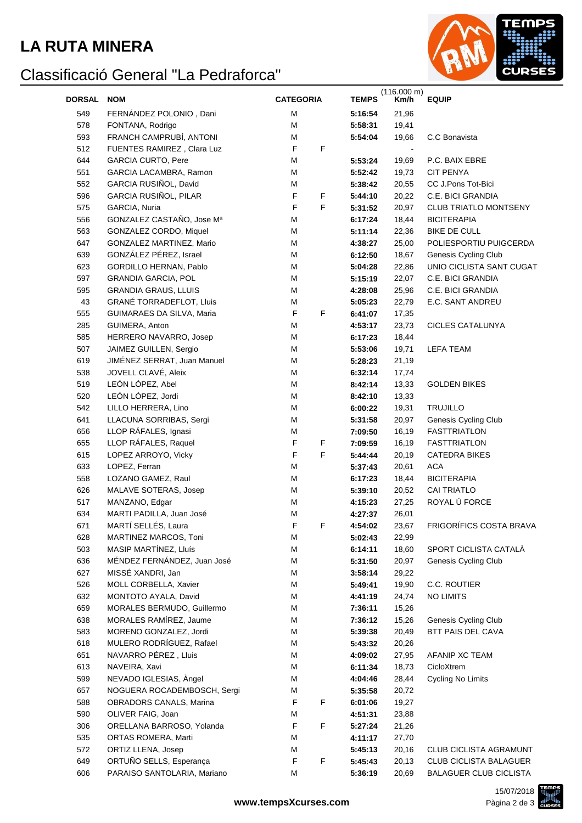#### **LA RUTA MINERA**

# Classificació General "La Pedraforca"



| <b>DORSAL</b> | <b>NOM</b>                                            | <b>CATEGORIA</b> |   | <b>TEMPS</b>       | (116.000 m)<br>Km/h | <b>EQUIP</b>                  |
|---------------|-------------------------------------------------------|------------------|---|--------------------|---------------------|-------------------------------|
| 549           | FERNANDEZ POLONIO, Dani                               | M                |   | 5:16:54            | 21,96               |                               |
| 578           | FONTANA, Rodrigo                                      | M                |   | 5:58:31            | 19,41               |                               |
| 593           | FRANCH CAMPRUBÍ, ANTONI                               | M                |   | 5:54:04            | 19,66               | C.C Bonavista                 |
| 512           | FUENTES RAMIREZ, Clara Luz                            | F                | F |                    |                     |                               |
| 644           | <b>GARCIA CURTO, Pere</b>                             | M                |   | 5:53:24            | 19,69               | P.C. BAIX EBRE                |
| 551           | GARCIA LACAMBRA, Ramon                                | M                |   | 5:52:42            | 19,73               | <b>CIT PENYA</b>              |
| 552           | GARCIA RUSIÑOL, David                                 | М                |   | 5:38:42            | 20,55               | CC J.Pons Tot-Bici            |
| 596           | GARCIA RUSIÑOL, PILAR                                 | F                | F | 5:44:10            | 20,22               | C.E. BICI GRANDIA             |
| 575           | GARCIA, Nuria                                         | $\mathsf F$      | F | 5:31:52            | 20,97               | <b>CLUB TRIATLO MONTSENY</b>  |
| 556           | GONZALEZ CASTAÑO, Jose Mª                             | M                |   | 6:17:24            | 18,44               | <b>BICITERAPIA</b>            |
| 563           | GONZALEZ CORDO, Miquel                                | М                |   | 5:11:14            | 22,36               | <b>BIKE DE CULL</b>           |
| 647           | GONZALEZ MARTINEZ, Mario                              | М                |   | 4:38:27            | 25,00               | POLIESPORTIU PUIGCERDA        |
| 639           | GONZÁLEZ PÉREZ, Israel                                | М                |   | 6:12:50            | 18,67               | Genesis Cycling Club          |
| 623           | GORDILLO HERNAN, Pablo                                | M                |   | 5:04:28            | 22,86               | UNIO CICLISTA SANT CUGAT      |
| 597           | <b>GRANDIA GARCIA, POL</b>                            | M                |   | 5:15:19            | 22,07               | C.E. BICI GRANDIA             |
| 595           | <b>GRANDIA GRAUS, LLUIS</b>                           | M                |   | 4:28:08            | 25,96               | C.E. BICI GRANDIA             |
| 43            | <b>GRANÉ TORRADEFLOT, Lluis</b>                       | M                |   | 5:05:23            | 22,79               | E.C. SANT ANDREU              |
| 555           | GUIMARAES DA SILVA, Maria                             | F                | F | 6:41:07            | 17,35               |                               |
| 285           | GUIMERA, Anton                                        | M                |   | 4:53:17            | 23,73               | <b>CICLES CATALUNYA</b>       |
| 585           | HERRERO NAVARRO, Josep                                | M                |   | 6:17:23            | 18,44               |                               |
| 507           | JAIMEZ GUILLEN, Sergio                                | M                |   | 5:53:06            | 19,71               | <b>LEFA TEAM</b>              |
| 619           | JIMÉNEZ SERRAT, Juan Manuel                           | M                |   | 5:28:23            | 21,19               |                               |
| 538           | JOVELL CLAVÉ, Aleix                                   | M                |   | 6:32:14            | 17,74               |                               |
| 519           | LEÓN LÓPEZ, Abel                                      | M                |   | 8:42:14            | 13,33               | <b>GOLDEN BIKES</b>           |
| 520           | LEÓN LÓPEZ, Jordi                                     | M                |   | 8:42:10            | 13,33               |                               |
| 542           | LILLO HERRERA, Lino                                   | M                |   | 6:00:22            | 19,31               | <b>TRUJILLO</b>               |
| 641           | LLACUNA SORRIBAS, Sergi                               | M                |   | 5:31:58            | 20,97               | Genesis Cycling Club          |
| 656           | LLOP RÁFALES, Ignasi                                  | M                |   | 7:09:50            | 16,19               | <b>FASTTRIATLON</b>           |
| 655           | LLOP RÁFALES, Raquel                                  | F                | F | 7:09:59            | 16,19               | <b>FASTTRIATLON</b>           |
| 615           | LOPEZ ARROYO, Vicky                                   | F                | F | 5:44:44            | 20,19               | <b>CATEDRA BIKES</b>          |
| 633           | LOPEZ, Ferran                                         | M                |   | 5:37:43            | 20,61               | <b>ACA</b>                    |
| 558           | LOZANO GAMEZ, Raul                                    | M                |   | 6:17:23            | 18,44               | <b>BICITERAPIA</b>            |
| 626           | MALAVE SOTERAS, Josep                                 | M                |   | 5:39:10            | 20,52               | <b>CAI TRIATLO</b>            |
| 517           | MANZANO, Edgar                                        | M                |   | 4:15:23            | 27,25               | ROYAL Ú FORCE                 |
| 634           | MARTI PADILLA, Juan José                              | M                |   | 4:27:37            | 26,01               |                               |
| 671           | MARTÍ SELLÉS, Laura                                   | F                | F | 4:54:02            | 23,67               | FRIGORÍFICS COSTA BRAVA       |
| 628           | MARTINEZ MARCOS, Toni                                 | М                |   | 5:02:43            | 22,99               |                               |
| 503           | MASIP MARTÍNEZ, Lluís                                 | M                |   | 6:14:11            | 18,60               | SPORT CICLISTA CATALÀ         |
| 636           | MÉNDEZ FERNÁNDEZ, Juan José                           | M                |   | 5:31:50            | 20,97               | Genesis Cycling Club          |
| 627           | MISSÉ XANDRI, Jan                                     | M                |   | 3:58:14            | 29,22               |                               |
| 526           | MOLL CORBELLA, Xavier                                 | M                |   | 5:49:41            | 19,90               | C.C. ROUTIER                  |
| 632           | MONTOTO AYALA, David                                  | M                |   | 4:41:19            | 24,74               | <b>NO LIMITS</b>              |
| 659           | MORALES BERMUDO, Guillermo                            | M                |   | 7:36:11            | 15,26               |                               |
| 638           | MORALES RAMÍREZ, Jaume                                | M                |   | 7:36:12            | 15,26               | Genesis Cycling Club          |
| 583           | MORENO GONZALEZ, Jordi                                | M                |   | 5:39:38            | 20,49               | BTT PAIS DEL CAVA             |
| 618           | MULERO RODRÍGUEZ, Rafael                              | M                |   | 5:43:32            | 20,26               |                               |
| 651           | NAVARRO PÉREZ, Lluis                                  | M                |   | 4:09:02            | 27,95               | AFANIP XC TEAM                |
| 613           | NAVEIRA, Xavi                                         | M                |   | 6:11:34            | 18,73               | CicloXtrem                    |
| 599           | NEVADO IGLESIAS, Àngel<br>NOGUERA ROCADEMBOSCH, Sergi | M                |   | 4:04:46            | 28,44               | Cycling No Limits             |
| 657           |                                                       | М                |   | 5:35:58            | 20,72               |                               |
| 588<br>590    | OBRADORS CANALS, Marina                               | F                | F | 6:01:06<br>4:51:31 | 19,27               |                               |
| 306           | OLIVER FAIG, Joan<br>ORELLANA BARROSO, Yolanda        | М<br>F           | F | 5:27:24            | 23,88<br>21,26      |                               |
| 535           | ORTAS ROMERA, Marti                                   | М                |   | 4:11:17            | 27,70               |                               |
| 572           | ORTIZ LLENA, Josep                                    | М                |   | 5:45:13            | 20,16               | <b>CLUB CICLISTA AGRAMUNT</b> |
| 649           | ORTUÑO SELLS, Esperança                               | F                | F | 5:45:43            | 20,13               | <b>CLUB CICLISTA BALAGUER</b> |
| 606           | PARAISO SANTOLARIA, Mariano                           | M                |   | 5:36:19            | 20,69               | <b>BALAGUER CLUB CICLISTA</b> |
|               |                                                       |                  |   |                    |                     |                               |